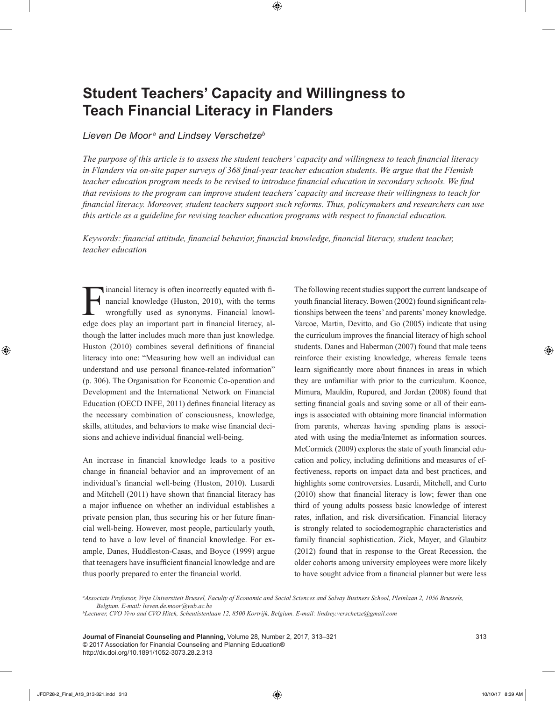# **Student Teachers' Capacity and Willingness to Teach Financial Literacy in Flanders**

# *Lieven De Moor <sup>a</sup> and Lindsey Verschetzeb*

*The purpose of this article is to assess the student teachers' capacity and willingness to teach financial literacy in Flanders via on-site paper surveys of 368 final-year teacher education students. We argue that the Flemish teacher education program needs to be revised to introduce financial education in secondary schools. We find that revisions to the program can improve student teachers' capacity and increase their willingness to teach for financial literacy. Moreover, student teachers support such reforms. Thus, policymakers and researchers can use this article as a guideline for revising teacher education programs with respect to financial education.*

*Keywords: financial attitude, financial behavior, financial knowledge, financial literacy, student teacher, teacher education*

Financial literacy is often incorrectly equated with financial knowledge (Huston, 2010), with the terms<br>wrongfully used as synonyms. Financial knowledge does play an important part in financial literacy alnancial knowledge (Huston, 2010), with the terms wrongfully used as synonyms. Financial knowledge does play an important part in financial literacy, although the latter includes much more than just knowledge. Huston (2010) combines several definitions of financial literacy into one: "Measuring how well an individual can understand and use personal finance-related information" (p. 306). The Organisation for Economic Co-operation and Development and the International Network on Financial Education (OECD INFE, 2011) defines financial literacy as the necessary combination of consciousness, knowledge, skills, attitudes, and behaviors to make wise financial decisions and achieve individual financial well-being.

An increase in financial knowledge leads to a positive change in financial behavior and an improvement of an individual's financial well-being (Huston, 2010). Lusardi and Mitchell (2011) have shown that financial literacy has a major influence on whether an individual establishes a private pension plan, thus securing his or her future financial well-being. However, most people, particularly youth, tend to have a low level of financial knowledge. For example, Danes, Huddleston-Casas, and Boyce (1999) argue that teenagers have insufficient financial knowledge and are thus poorly prepared to enter the financial world.

The following recent studies support the current landscape of youth financial literacy. Bowen (2002) found significant relationships between the teens' and parents' money knowledge. Varcoe, Martin, Devitto, and Go (2005) indicate that using the curriculum improves the financial literacy of high school students. Danes and Haberman (2007) found that male teens reinforce their existing knowledge, whereas female teens learn significantly more about finances in areas in which they are unfamiliar with prior to the curriculum. Koonce, Mimura, Mauldin, Rupured, and Jordan (2008) found that setting financial goals and saving some or all of their earnings is associated with obtaining more financial information from parents, whereas having spending plans is associated with using the media/Internet as information sources. McCormick (2009) explores the state of youth financial education and policy, including definitions and measures of effectiveness, reports on impact data and best practices, and highlights some controversies. Lusardi, Mitchell, and Curto (2010) show that financial literacy is low; fewer than one third of young adults possess basic knowledge of interest rates, inflation, and risk diversification. Financial literacy is strongly related to sociodemographic characteristics and family financial sophistication. Zick, Mayer, and Glaubitz (2012) found that in response to the Great Recession, the older cohorts among university employees were more likely to have sought advice from a financial planner but were less

*a Associate Professor, Vrije Universiteit Brussel, Faculty of Economic and Social Sciences and Solvay Business School, Pleinlaan 2, 1050 Brussels, Belgium. E-mail: lieven.de.moor@vub.ac.be*

*b Lecturer, CVO Vivo and CVO Hitek, Scheutistenlaan 12, 8500 Kortrijk, Belgium. E-mail: lindsey.verschetze@gmail.com*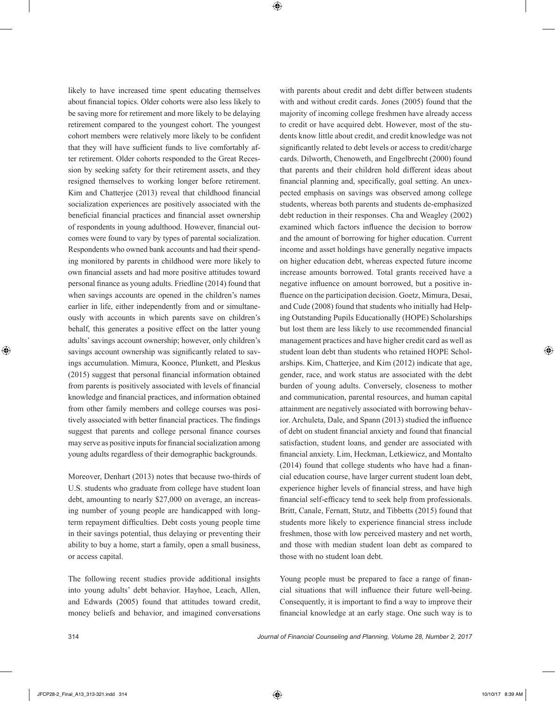likely to have increased time spent educating themselves about financial topics. Older cohorts were also less likely to be saving more for retirement and more likely to be delaying retirement compared to the youngest cohort. The youngest cohort members were relatively more likely to be confident that they will have sufficient funds to live comfortably after retirement. Older cohorts responded to the Great Recession by seeking safety for their retirement assets, and they resigned themselves to working longer before retirement. Kim and Chatterjee (2013) reveal that childhood financial socialization experiences are positively associated with the beneficial financial practices and financial asset ownership of respondents in young adulthood. However, financial outcomes were found to vary by types of parental socialization. Respondents who owned bank accounts and had their spending monitored by parents in childhood were more likely to own financial assets and had more positive attitudes toward personal finance as young adults. Friedline (2014) found that when savings accounts are opened in the children's names earlier in life, either independently from and or simultaneously with accounts in which parents save on children's behalf, this generates a positive effect on the latter young adults' savings account ownership; however, only children's savings account ownership was significantly related to savings accumulation. Mimura, Koonce, Plunkett, and Pleskus (2015) suggest that personal financial information obtained from parents is positively associated with levels of financial knowledge and financial practices, and information obtained from other family members and college courses was positively associated with better financial practices. The findings suggest that parents and college personal finance courses may serve as positive inputs for financial socialization among young adults regardless of their demographic backgrounds.

Moreover, Denhart (2013) notes that because two-thirds of U.S. students who graduate from college have student loan debt, amounting to nearly \$27,000 on average, an increasing number of young people are handicapped with longterm repayment difficulties. Debt costs young people time in their savings potential, thus delaying or preventing their ability to buy a home, start a family, open a small business, or access capital.

The following recent studies provide additional insights into young adults' debt behavior. Hayhoe, Leach, Allen, and Edwards (2005) found that attitudes toward credit, money beliefs and behavior, and imagined conversations with parents about credit and debt differ between students with and without credit cards. Jones (2005) found that the majority of incoming college freshmen have already access to credit or have acquired debt. However, most of the students know little about credit, and credit knowledge was not significantly related to debt levels or access to credit/charge cards. Dilworth, Chenoweth, and Engelbrecht (2000) found that parents and their children hold different ideas about financial planning and, specifically, goal setting. An unexpected emphasis on savings was observed among college students, whereas both parents and students de-emphasized debt reduction in their responses. Cha and Weagley (2002) examined which factors influence the decision to borrow and the amount of borrowing for higher education. Current income and asset holdings have generally negative impacts on higher education debt, whereas expected future income increase amounts borrowed. Total grants received have a negative influence on amount borrowed, but a positive influence on the participation decision. Goetz, Mimura, Desai, and Cude (2008) found that students who initially had Helping Outstanding Pupils Educationally (HOPE) Scholarships but lost them are less likely to use recommended financial management practices and have higher credit card as well as student loan debt than students who retained HOPE Scholarships. Kim, Chatterjee, and Kim (2012) indicate that age, gender, race, and work status are associated with the debt burden of young adults. Conversely, closeness to mother and communication, parental resources, and human capital attainment are negatively associated with borrowing behavior. Archuleta, Dale, and Spann (2013) studied the influence of debt on student financial anxiety and found that financial satisfaction, student loans, and gender are associated with financial anxiety. Lim, Heckman, Letkiewicz, and Montalto (2014) found that college students who have had a financial education course, have larger current student loan debt, experience higher levels of financial stress, and have high financial self-efficacy tend to seek help from professionals. Britt, Canale, Fernatt, Stutz, and Tibbetts (2015) found that students more likely to experience financial stress include freshmen, those with low perceived mastery and net worth, and those with median student loan debt as compared to those with no student loan debt.

Young people must be prepared to face a range of financial situations that will influence their future well-being. Consequently, it is important to find a way to improve their financial knowledge at an early stage. One such way is to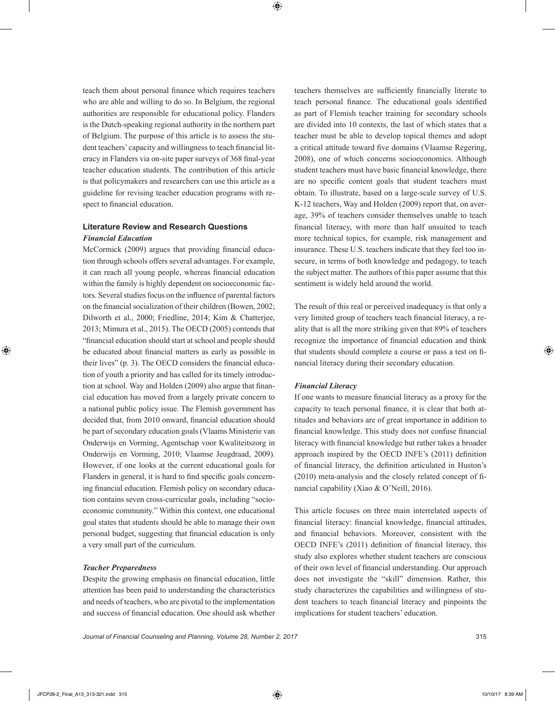teach them about personal finance which requires teachers who are able and willing to do so. In Belgium, the regional authorities are responsible for educational policy. Flanders is the Dutch-speaking regional authority in the northern part of Belgium. The purpose of this article is to assess the student teachers' capacity and willingness to teach financial literacy in Flanders via on-site paper surveys of 368 final-year teacher education students. The contribution of this article is that policymakers and researchers can use this article as a guideline for revising teacher education programs with respect to financial education.

# **Literature Review and Research Questions** *Financial Education*

McCormick (2009) argues that providing financial education through schools offers several advantages. For example, it can reach all young people, whereas financial education within the family is highly dependent on socioeconomic factors. Several studies focus on the influence of parental factors on the financial socialization of their children (Bowen, 2002; Dilworth et al., 2000; Friedline, 2014; Kim & Chatterjee, 2013; Mimura et al., 2015). The OECD (2005) contends that "financial education should start at school and people should be educated about financial matters as early as possible in their lives" (p. 3). The OECD considers the financial education of youth a priority and has called for its timely introduction at school. Way and Holden (2009) also argue that financial education has moved from a largely private concern to a national public policy issue. The Flemish government has decided that, from 2010 onward, financial education should be part of secondary education goals (Vlaams Ministerie van Onderwijs en Vorming, Agentschap voor Kwaliteitszorg in Onderwijs en Vorming, 2010; Vlaamse Jeugdraad, 2009). However, if one looks at the current educational goals for Flanders in general, it is hard to find specific goals concerning financial education. Flemish policy on secondary education contains seven cross-curricular goals, including "socioeconomic community." Within this context, one educational goal states that students should be able to manage their own personal budget, suggesting that financial education is only a very small part of the curriculum.

# *Teacher Preparedness*

Despite the growing emphasis on financial education, little attention has been paid to understanding the characteristics and needs of teachers, who are pivotal to the implementation and success of financial education. One should ask whether

teachers themselves are sufficiently financially literate to teach personal finance. The educational goals identified as part of Flemish teacher training for secondary schools are divided into 10 contexts, the last of which states that a teacher must be able to develop topical themes and adopt a critical attitude toward five domains (Vlaamse Regering, 2008), one of which concerns socioeconomics. Although student teachers must have basic financial knowledge, there are no specific content goals that student teachers must obtain. To illustrate, based on a large-scale survey of U.S. K-12 teachers, Way and Holden (2009) report that, on average, 39% of teachers consider themselves unable to teach financial literacy, with more than half unsuited to teach more technical topics, for example, risk management and insurance. These U.S. teachers indicate that they feel too insecure, in terms of both knowledge and pedagogy, to teach the subject matter. The authors of this paper assume that this sentiment is widely held around the world.

The result of this real or perceived inadequacy is that only a very limited group of teachers teach financial literacy, a reality that is all the more striking given that 89% of teachers recognize the importance of financial education and think that students should complete a course or pass a test on financial literacy during their secondary education.

#### *Financial Literacy*

If one wants to measure financial literacy as a proxy for the capacity to teach personal finance, it is clear that both attitudes and behaviors are of great importance in addition to financial knowledge. This study does not confuse financial literacy with financial knowledge but rather takes a broader approach inspired by the OECD INFE's (2011) definition of financial literacy, the definition articulated in Huston's (2010) meta-analysis and the closely related concept of financial capability (Xiao & O'Neill, 2016).

This article focuses on three main interrelated aspects of financial literacy: financial knowledge, financial attitudes, and financial behaviors. Moreover, consistent with the OECD INFE's (2011) definition of financial literacy, this study also explores whether student teachers are conscious of their own level of financial understanding. Our approach does not investigate the "skill" dimension. Rather, this study characterizes the capabilities and willingness of student teachers to teach financial literacy and pinpoints the implications for student teachers' education.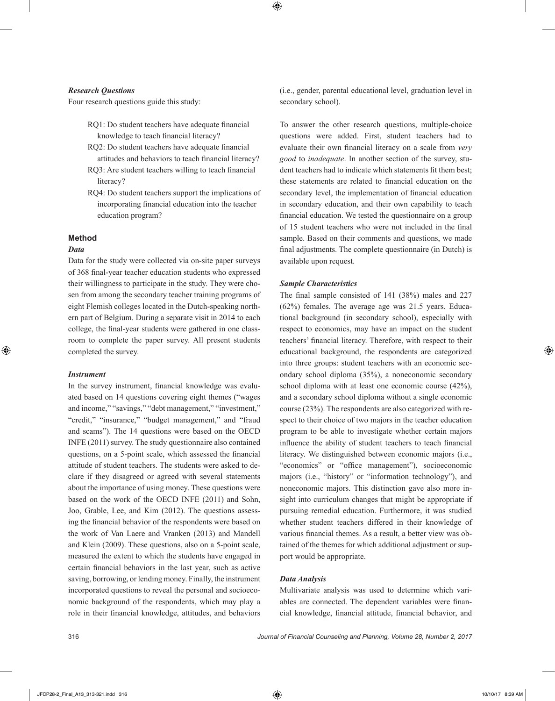## *Research Questions*

Four research questions guide this study:

- RQ1: Do student teachers have adequate financial knowledge to teach financial literacy?
- RQ2: Do student teachers have adequate financial attitudes and behaviors to teach financial literacy?
- RQ3: Are student teachers willing to teach financial literacy?
- RQ4: Do student teachers support the implications of incorporating financial education into the teacher education program?

# **Method**

#### *Data*

Data for the study were collected via on-site paper surveys of 368 final-year teacher education students who expressed their willingness to participate in the study. They were chosen from among the secondary teacher training programs of eight Flemish colleges located in the Dutch-speaking northern part of Belgium. During a separate visit in 2014 to each college, the final-year students were gathered in one classroom to complete the paper survey. All present students completed the survey.

#### *Instrument*

In the survey instrument, financial knowledge was evaluated based on 14 questions covering eight themes ("wages and income," "savings," "debt management," "investment," "credit," "insurance," "budget management," and "fraud and scams"). The 14 questions were based on the OECD INFE (2011) survey. The study questionnaire also contained questions, on a 5-point scale, which assessed the financial attitude of student teachers. The students were asked to declare if they disagreed or agreed with several statements about the importance of using money. These questions were based on the work of the OECD INFE (2011) and Sohn, Joo, Grable, Lee, and Kim (2012). The questions assessing the financial behavior of the respondents were based on the work of Van Laere and Vranken (2013) and Mandell and Klein (2009). These questions, also on a 5-point scale, measured the extent to which the students have engaged in certain financial behaviors in the last year, such as active saving, borrowing, or lending money. Finally, the instrument incorporated questions to reveal the personal and socioeconomic background of the respondents, which may play a role in their financial knowledge, attitudes, and behaviors

(i.e., gender, parental educational level, graduation level in secondary school).

To answer the other research questions, multiple-choice questions were added. First, student teachers had to evaluate their own financial literacy on a scale from *very good* to *inadequate*. In another section of the survey, student teachers had to indicate which statements fit them best; these statements are related to financial education on the secondary level, the implementation of financial education in secondary education, and their own capability to teach financial education. We tested the questionnaire on a group of 15 student teachers who were not included in the final sample. Based on their comments and questions, we made final adjustments. The complete questionnaire (in Dutch) is available upon request.

#### *Sample Characteristics*

The final sample consisted of 141 (38%) males and 227 (62%) females. The average age was 21.5 years. Educational background (in secondary school), especially with respect to economics, may have an impact on the student teachers' financial literacy. Therefore, with respect to their educational background, the respondents are categorized into three groups: student teachers with an economic secondary school diploma (35%), a noneconomic secondary school diploma with at least one economic course (42%), and a secondary school diploma without a single economic course (23%). The respondents are also categorized with respect to their choice of two majors in the teacher education program to be able to investigate whether certain majors influence the ability of student teachers to teach financial literacy. We distinguished between economic majors (i.e., "economics" or "office management"), socioeconomic majors (i.e., "history" or "information technology"), and noneconomic majors. This distinction gave also more insight into curriculum changes that might be appropriate if pursuing remedial education. Furthermore, it was studied whether student teachers differed in their knowledge of various financial themes. As a result, a better view was obtained of the themes for which additional adjustment or support would be appropriate.

#### *Data Analysis*

Multivariate analysis was used to determine which variables are connected. The dependent variables were financial knowledge, financial attitude, financial behavior, and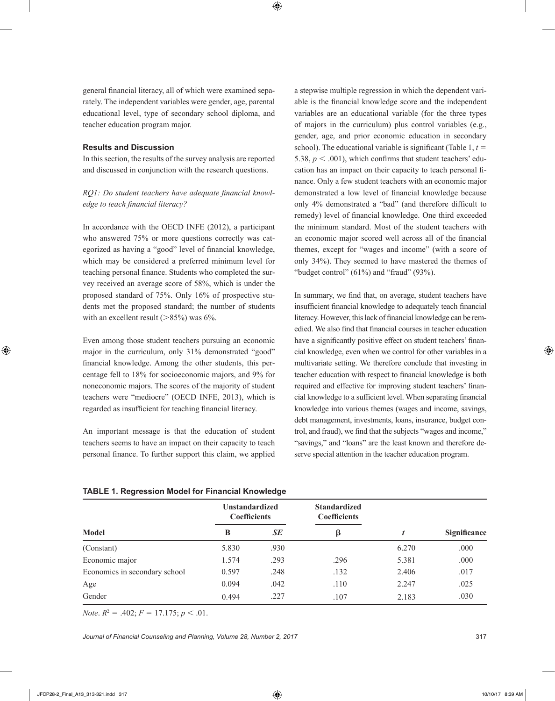general financial literacy, all of which were examined separately. The independent variables were gender, age, parental educational level, type of secondary school diploma, and teacher education program major.

# **Results and Discussion**

In this section, the results of the survey analysis are reported and discussed in conjunction with the research questions.

*RQ1: Do student teachers have adequate financial knowledge to teach financial literacy?*

In accordance with the OECD INFE (2012), a participant who answered 75% or more questions correctly was categorized as having a "good" level of financial knowledge, which may be considered a preferred minimum level for teaching personal finance. Students who completed the survey received an average score of 58%, which is under the proposed standard of 75%. Only 16% of prospective students met the proposed standard; the number of students with an excellent result  $(>85\%)$  was 6%.

Even among those student teachers pursuing an economic major in the curriculum, only 31% demonstrated "good" financial knowledge. Among the other students, this percentage fell to 18% for socioeconomic majors, and 9% for noneconomic majors. The scores of the majority of student teachers were "mediocre" (OECD INFE, 2013), which is regarded as insufficient for teaching financial literacy.

An important message is that the education of student teachers seems to have an impact on their capacity to teach personal finance. To further support this claim, we applied a stepwise multiple regression in which the dependent variable is the financial knowledge score and the independent variables are an educational variable (for the three types of majors in the curriculum) plus control variables (e.g., gender, age, and prior economic education in secondary school). The educational variable is significant (Table 1,  $t =$ 5.38,  $p < .001$ ), which confirms that student teachers' education has an impact on their capacity to teach personal finance. Only a few student teachers with an economic major demonstrated a low level of financial knowledge because only 4% demonstrated a "bad" (and therefore difficult to remedy) level of financial knowledge. One third exceeded the minimum standard. Most of the student teachers with an economic major scored well across all of the financial themes, except for "wages and income" (with a score of only 34%). They seemed to have mastered the themes of "budget control"  $(61\%)$  and "fraud"  $(93\%).$ 

In summary, we find that, on average, student teachers have insufficient financial knowledge to adequately teach financial literacy. However, this lack of financial knowledge can be remedied. We also find that financial courses in teacher education have a significantly positive effect on student teachers' financial knowledge, even when we control for other variables in a multivariate setting. We therefore conclude that investing in teacher education with respect to financial knowledge is both required and effective for improving student teachers' financial knowledge to a sufficient level. When separating financial knowledge into various themes (wages and income, savings, debt management, investments, loans, insurance, budget control, and fraud), we find that the subjects "wages and income," "savings," and "loans" are the least known and therefore deserve special attention in the teacher education program.

| <b>TABLE 1. Regression Model for Financial Knowledge</b> |  |  |
|----------------------------------------------------------|--|--|
|                                                          |  |  |

|                               | <b>Unstandardized</b><br><b>Coefficients</b> |      | <b>Standardized</b><br><b>Coefficients</b> |          | Significance |
|-------------------------------|----------------------------------------------|------|--------------------------------------------|----------|--------------|
| <b>Model</b>                  | SE<br>B                                      |      |                                            |          |              |
| (Constant)                    | 5.830                                        | .930 |                                            | 6.270    | .000         |
| Economic major                | 1.574                                        | .293 | .296                                       | 5.381    | .000         |
| Economics in secondary school | 0.597                                        | .248 | .132                                       | 2.406    | .017         |
| Age                           | 0.094                                        | .042 | .110                                       | 2.247    | .025         |
| Gender                        | $-0.494$                                     | .227 | $-.107$                                    | $-2.183$ | .030         |

*Note*.  $R^2 = .402$ ;  $F = 17.175$ ;  $p < .01$ .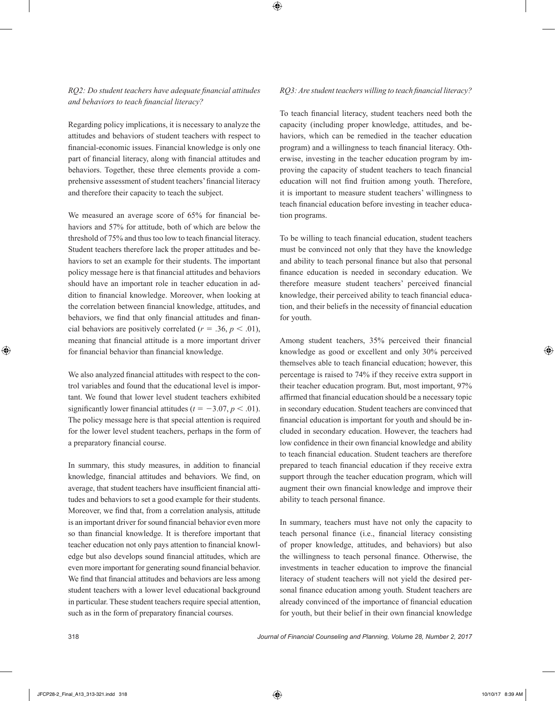# *RQ2: Do student teachers have adequate financial attitudes and behaviors to teach financial literacy?*

Regarding policy implications, it is necessary to analyze the attitudes and behaviors of student teachers with respect to financial-economic issues. Financial knowledge is only one part of financial literacy, along with financial attitudes and behaviors. Together, these three elements provide a comprehensive assessment of student teachers' financial literacy and therefore their capacity to teach the subject.

We measured an average score of 65% for financial behaviors and 57% for attitude, both of which are below the threshold of 75% and thus too low to teach financial literacy. Student teachers therefore lack the proper attitudes and behaviors to set an example for their students. The important policy message here is that financial attitudes and behaviors should have an important role in teacher education in addition to financial knowledge. Moreover, when looking at the correlation between financial knowledge, attitudes, and behaviors, we find that only financial attitudes and financial behaviors are positively correlated ( $r = .36$ ,  $p < .01$ ), meaning that financial attitude is a more important driver for financial behavior than financial knowledge.

We also analyzed financial attitudes with respect to the control variables and found that the educational level is important. We found that lower level student teachers exhibited significantly lower financial attitudes ( $t = -3.07, p < .01$ ). The policy message here is that special attention is required for the lower level student teachers, perhaps in the form of a preparatory financial course.

In summary, this study measures, in addition to financial knowledge, financial attitudes and behaviors. We find, on average, that student teachers have insufficient financial attitudes and behaviors to set a good example for their students. Moreover, we find that, from a correlation analysis, attitude is an important driver for sound financial behavior even more so than financial knowledge. It is therefore important that teacher education not only pays attention to financial knowledge but also develops sound financial attitudes, which are even more important for generating sound financial behavior. We find that financial attitudes and behaviors are less among student teachers with a lower level educational background in particular. These student teachers require special attention, such as in the form of preparatory financial courses.

## *RQ3: Are student teachers willing to teach financial literacy?*

To teach financial literacy, student teachers need both the capacity (including proper knowledge, attitudes, and behaviors, which can be remedied in the teacher education program) and a willingness to teach financial literacy. Otherwise, investing in the teacher education program by improving the capacity of student teachers to teach financial education will not find fruition among youth. Therefore, it is important to measure student teachers' willingness to teach financial education before investing in teacher education programs.

To be willing to teach financial education, student teachers must be convinced not only that they have the knowledge and ability to teach personal finance but also that personal finance education is needed in secondary education. We therefore measure student teachers' perceived financial knowledge, their perceived ability to teach financial education, and their beliefs in the necessity of financial education for youth.

Among student teachers, 35% perceived their financial knowledge as good or excellent and only 30% perceived themselves able to teach financial education; however, this percentage is raised to 74% if they receive extra support in their teacher education program. But, most important, 97% affirmed that financial education should be a necessary topic in secondary education. Student teachers are convinced that financial education is important for youth and should be included in secondary education. However, the teachers had low confidence in their own financial knowledge and ability to teach financial education. Student teachers are therefore prepared to teach financial education if they receive extra support through the teacher education program, which will augment their own financial knowledge and improve their ability to teach personal finance.

In summary, teachers must have not only the capacity to teach personal finance (i.e., financial literacy consisting of proper knowledge, attitudes, and behaviors) but also the willingness to teach personal finance. Otherwise, the investments in teacher education to improve the financial literacy of student teachers will not yield the desired personal finance education among youth. Student teachers are already convinced of the importance of financial education for youth, but their belief in their own financial knowledge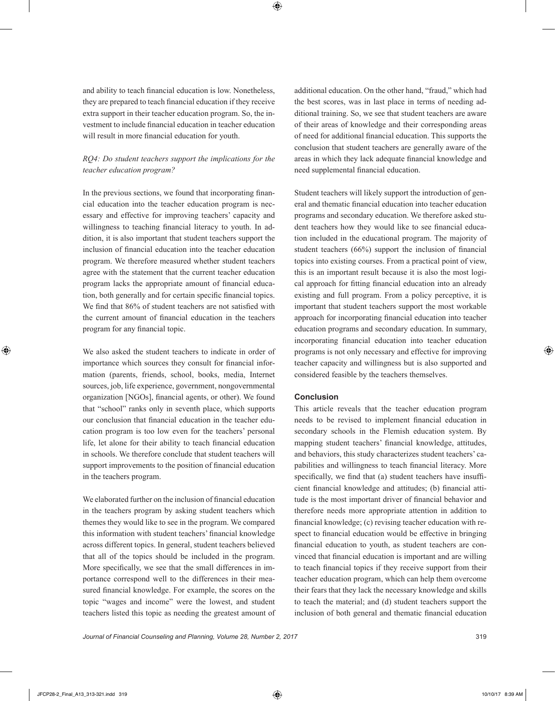and ability to teach financial education is low. Nonetheless, they are prepared to teach financial education if they receive extra support in their teacher education program. So, the investment to include financial education in teacher education will result in more financial education for youth.

# *RQ4: Do student teachers support the implications for the teacher education program?*

In the previous sections, we found that incorporating financial education into the teacher education program is necessary and effective for improving teachers' capacity and willingness to teaching financial literacy to youth. In addition, it is also important that student teachers support the inclusion of financial education into the teacher education program. We therefore measured whether student teachers agree with the statement that the current teacher education program lacks the appropriate amount of financial education, both generally and for certain specific financial topics. We find that 86% of student teachers are not satisfied with the current amount of financial education in the teachers program for any financial topic.

We also asked the student teachers to indicate in order of importance which sources they consult for financial information (parents, friends, school, books, media, Internet sources, job, life experience, government, nongovernmental organization [NGOs], financial agents, or other). We found that "school" ranks only in seventh place, which supports our conclusion that financial education in the teacher education program is too low even for the teachers' personal life, let alone for their ability to teach financial education in schools. We therefore conclude that student teachers will support improvements to the position of financial education in the teachers program.

We elaborated further on the inclusion of financial education in the teachers program by asking student teachers which themes they would like to see in the program. We compared this information with student teachers' financial knowledge across different topics. In general, student teachers believed that all of the topics should be included in the program. More specifically, we see that the small differences in importance correspond well to the differences in their measured financial knowledge. For example, the scores on the topic "wages and income" were the lowest, and student teachers listed this topic as needing the greatest amount of additional education. On the other hand, "fraud," which had the best scores, was in last place in terms of needing additional training. So, we see that student teachers are aware of their areas of knowledge and their corresponding areas of need for additional financial education. This supports the conclusion that student teachers are generally aware of the areas in which they lack adequate financial knowledge and need supplemental financial education.

Student teachers will likely support the introduction of general and thematic financial education into teacher education programs and secondary education. We therefore asked student teachers how they would like to see financial education included in the educational program. The majority of student teachers (66%) support the inclusion of financial topics into existing courses. From a practical point of view, this is an important result because it is also the most logical approach for fitting financial education into an already existing and full program. From a policy perceptive, it is important that student teachers support the most workable approach for incorporating financial education into teacher education programs and secondary education. In summary, incorporating financial education into teacher education programs is not only necessary and effective for improving teacher capacity and willingness but is also supported and considered feasible by the teachers themselves.

# **Conclusion**

This article reveals that the teacher education program needs to be revised to implement financial education in secondary schools in the Flemish education system. By mapping student teachers' financial knowledge, attitudes, and behaviors, this study characterizes student teachers' capabilities and willingness to teach financial literacy. More specifically, we find that (a) student teachers have insufficient financial knowledge and attitudes; (b) financial attitude is the most important driver of financial behavior and therefore needs more appropriate attention in addition to financial knowledge; (c) revising teacher education with respect to financial education would be effective in bringing financial education to youth, as student teachers are convinced that financial education is important and are willing to teach financial topics if they receive support from their teacher education program, which can help them overcome their fears that they lack the necessary knowledge and skills to teach the material; and (d) student teachers support the inclusion of both general and thematic financial education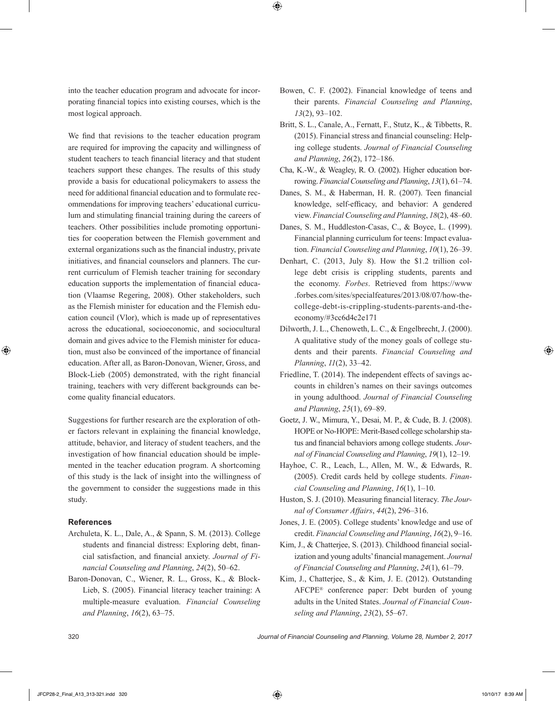into the teacher education program and advocate for incorporating financial topics into existing courses, which is the most logical approach.

We find that revisions to the teacher education program are required for improving the capacity and willingness of student teachers to teach financial literacy and that student teachers support these changes. The results of this study provide a basis for educational policymakers to assess the need for additional financial education and to formulate recommendations for improving teachers' educational curriculum and stimulating financial training during the careers of teachers. Other possibilities include promoting opportunities for cooperation between the Flemish government and external organizations such as the financial industry, private initiatives, and financial counselors and planners. The current curriculum of Flemish teacher training for secondary education supports the implementation of financial education (Vlaamse Regering, 2008). Other stakeholders, such as the Flemish minister for education and the Flemish education council (Vlor), which is made up of representatives across the educational, socioeconomic, and sociocultural domain and gives advice to the Flemish minister for education, must also be convinced of the importance of financial education. After all, as Baron-Donovan, Wiener, Gross, and Block-Lieb (2005) demonstrated, with the right financial training, teachers with very different backgrounds can become quality financial educators.

Suggestions for further research are the exploration of other factors relevant in explaining the financial knowledge, attitude, behavior, and literacy of student teachers, and the investigation of how financial education should be implemented in the teacher education program. A shortcoming of this study is the lack of insight into the willingness of the government to consider the suggestions made in this study.

# **References**

- Archuleta, K. L., Dale, A., & Spann, S. M. (2013). College students and financial distress: Exploring debt, financial satisfaction, and financial anxiety. *Journal of Financial Counseling and Planning*, *24*(2), 50–62.
- Baron-Donovan, C., Wiener, R. L., Gross, K., & Block-Lieb, S. (2005). Financial literacy teacher training: A multiple-measure evaluation. *Financial Counseling and Planning*, *16*(2), 63–75.
- Bowen, C. F. (2002). Financial knowledge of teens and their parents. *Financial Counseling and Planning*, *13*(2), 93–102.
- Britt, S. L., Canale, A., Fernatt, F., Stutz, K., & Tibbetts, R. (2015). Financial stress and financial counseling: Helping college students. *Journal of Financial Counseling and Planning*, *26*(2), 172–186.
- Cha, K.-W., & Weagley, R. O. (2002). Higher education borrowing. *Financial Counseling and Planning*, *13*(1), 61–74.
- Danes, S. M., & Haberman, H. R. (2007). Teen financial knowledge, self-efficacy, and behavior: A gendered view. *Financial Counseling and Planning*, *18*(2), 48–60.
- Danes, S. M., Huddleston-Casas, C., & Boyce, L. (1999). Financial planning curriculum for teens: Impact evaluation. *Financial Counseling and Planning*, *10*(1), 26–39.
- Denhart, C. (2013, July 8). How the \$1.2 trillion college debt crisis is crippling students, parents and the economy. *Forbes*. Retrieved from https://www .forbes.com/sites/specialfeatures/2013/08/07/how-thecollege-debt-is-crippling-students-parents-and-theeconomy/#3cc6d4c2e171
- Dilworth, J. L., Chenoweth, L. C., & Engelbrecht, J. (2000). A qualitative study of the money goals of college students and their parents. *Financial Counseling and Planning*, *11*(2), 33–42.
- Friedline, T. (2014). The independent effects of savings accounts in children's names on their savings outcomes in young adulthood. *Journal of Financial Counseling and Planning*, *25*(1), 69–89.
- Goetz, J. W., Mimura, Y., Desai, M. P., & Cude, B. J. (2008). HOPE or No-HOPE: Merit-Based college scholarship status and financial behaviors among college students. *Journal of Financial Counseling and Planning*, *19*(1), 12–19.
- Hayhoe, C. R., Leach, L., Allen, M. W., & Edwards, R. (2005). Credit cards held by college students. *Financial Counseling and Planning*, *16*(1), 1–10.
- Huston, S. J. (2010). Measuring financial literacy. *The Journal of Consumer Affairs*, *44*(2), 296–316.
- Jones, J. E. (2005). College students' knowledge and use of credit. *Financial Counseling and Planning*, *16*(2), 9–16.
- Kim, J., & Chatterjee, S. (2013). Childhood financial socialization and young adults' financial management. *Journal of Financial Counseling and Planning*, *24*(1), 61–79.
- Kim, J., Chatterjee, S., & Kim, J. E. (2012). Outstanding AFCPE® conference paper: Debt burden of young adults in the United States. *Journal of Financial Counseling and Planning*, *23*(2), 55–67.